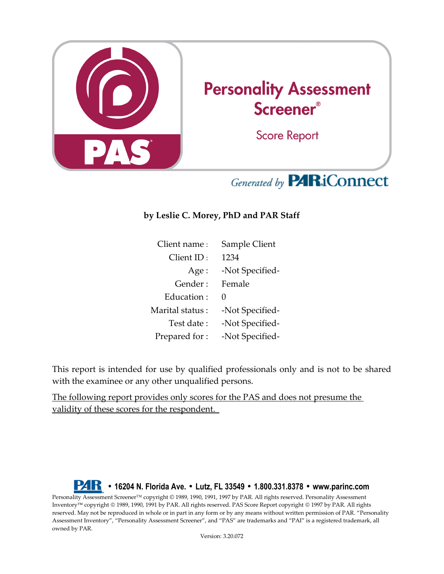

## Generated by **PARiConnect**

## **by Leslie C. Morey, PhD and PAR Staff**

| Client name:    | Sample Client     |  |  |  |
|-----------------|-------------------|--|--|--|
| Client ID:      | 1234              |  |  |  |
| Age:            | -Not Specified-   |  |  |  |
| Gender :        | Female            |  |  |  |
| Education:      | $\mathbf{\Omega}$ |  |  |  |
| Marital status: | -Not Specified-   |  |  |  |
| Test date:      | -Not Specified-   |  |  |  |
| Prepared for:   | -Not Specified-   |  |  |  |

This report is intended for use by qualified professionals only and is not to be shared with the examinee or any other unqualified persons.

The following report provides only scores for the PAS and does not presume the validity of these scores for the respondent.

**• 16204 N. Florida Ave. • Lutz, FL 33549 • 1.800.331.8378 • www.parinc.com** Personality Assessment Screener™ copyright © 1989, 1990, 1991, 1997 by PAR. All rights reserved. Personality Assessment Inventory<sup>™</sup> copyright © 1989, 1990, 1991 by PAR. All rights reserved. PAS Score Report copyright © 1997 by PAR. All rights reserved. May not be reproduced in whole or in part in any form or by any means without written permission of PAR. "Personality Assessment Inventory", "Personality Assessment Screener", and "PAS" are trademarks and "PAI" is a registered trademark, all owned by PAR.